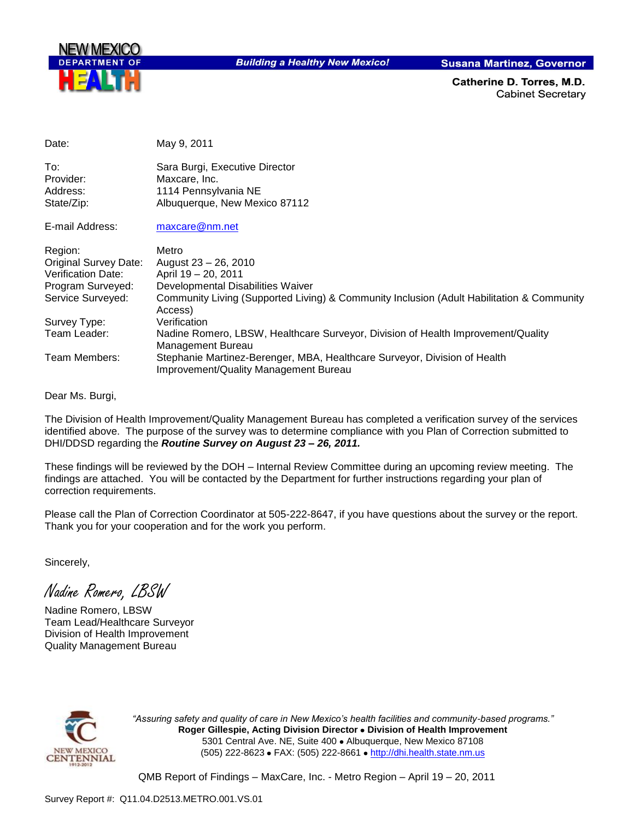

**Building a Healthy New Mexico!** 

**Susana Martinez, Governor** 

Catherine D. Torres, M.D. **Cabinet Secretary** 

| Date:                        | May 9, 2011                                                                                                        |
|------------------------------|--------------------------------------------------------------------------------------------------------------------|
| To:                          | Sara Burgi, Executive Director                                                                                     |
| Provider:                    | Maxcare, Inc.                                                                                                      |
| Address:                     | 1114 Pennsylvania NE                                                                                               |
| State/Zip:                   | Albuquerque, New Mexico 87112                                                                                      |
| E-mail Address:              | maxcare@nm.net                                                                                                     |
| Region:                      | Metro                                                                                                              |
| <b>Original Survey Date:</b> | August 23 - 26, 2010                                                                                               |
| <b>Verification Date:</b>    | April 19 - 20, 2011                                                                                                |
| Program Surveyed:            | Developmental Disabilities Waiver                                                                                  |
| Service Surveyed:            | Community Living (Supported Living) & Community Inclusion (Adult Habilitation & Community<br>Access)               |
| Survey Type:                 | Verification                                                                                                       |
| Team Leader:                 | Nadine Romero, LBSW, Healthcare Surveyor, Division of Health Improvement/Quality<br>Management Bureau              |
| Team Members:                | Stephanie Martinez-Berenger, MBA, Healthcare Surveyor, Division of Health<br>Improvement/Quality Management Bureau |

Dear Ms. Burgi,

The Division of Health Improvement/Quality Management Bureau has completed a verification survey of the services identified above. The purpose of the survey was to determine compliance with you Plan of Correction submitted to DHI/DDSD regarding the *Routine Survey on August 23 – 26, 2011.*

These findings will be reviewed by the DOH – Internal Review Committee during an upcoming review meeting. The findings are attached. You will be contacted by the Department for further instructions regarding your plan of correction requirements.

Please call the Plan of Correction Coordinator at 505-222-8647, if you have questions about the survey or the report. Thank you for your cooperation and for the work you perform.

Sincerely,

Nadine Romero, LBSW

Nadine Romero, LBSW Team Lead/Healthcare Surveyor Division of Health Improvement Quality Management Bureau



*"Assuring safety and quality of care in New Mexico's health facilities and community-based programs."* **Roger Gillespie, Acting Division Director Division of Health Improvement**  5301 Central Ave. NE, Suite 400 · Albuquerque, New Mexico 87108 (505) 222-8623 • FAX: (505) 222-8661 • http://dhi.health.state.nm.us

QMB Report of Findings – MaxCare, Inc. - Metro Region – April 19 – 20, 2011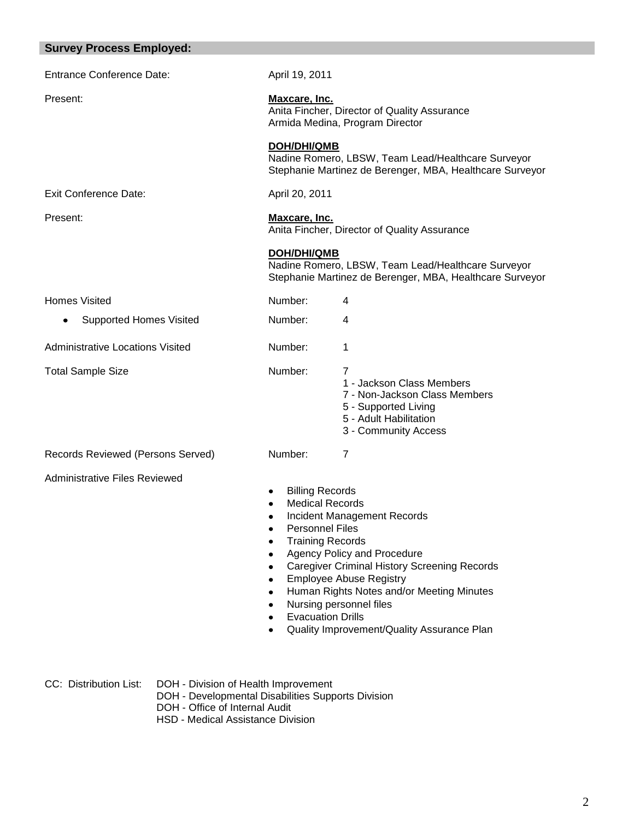| <b>Survey Process Employed:</b>         |                                                                                                                                                                                                                                                                                                                                                                                                                                                                                                              |                                                                                                                                           |  |
|-----------------------------------------|--------------------------------------------------------------------------------------------------------------------------------------------------------------------------------------------------------------------------------------------------------------------------------------------------------------------------------------------------------------------------------------------------------------------------------------------------------------------------------------------------------------|-------------------------------------------------------------------------------------------------------------------------------------------|--|
| <b>Entrance Conference Date:</b>        | April 19, 2011                                                                                                                                                                                                                                                                                                                                                                                                                                                                                               |                                                                                                                                           |  |
| Present:                                | Maxcare, Inc.<br>Anita Fincher, Director of Quality Assurance<br>Armida Medina, Program Director                                                                                                                                                                                                                                                                                                                                                                                                             |                                                                                                                                           |  |
|                                         | <b>DOH/DHI/QMB</b><br>Nadine Romero, LBSW, Team Lead/Healthcare Surveyor<br>Stephanie Martinez de Berenger, MBA, Healthcare Surveyor                                                                                                                                                                                                                                                                                                                                                                         |                                                                                                                                           |  |
| <b>Exit Conference Date:</b>            | April 20, 2011                                                                                                                                                                                                                                                                                                                                                                                                                                                                                               |                                                                                                                                           |  |
| Present:                                | Maxcare, Inc.<br>Anita Fincher, Director of Quality Assurance                                                                                                                                                                                                                                                                                                                                                                                                                                                |                                                                                                                                           |  |
|                                         | <b>DOH/DHI/QMB</b>                                                                                                                                                                                                                                                                                                                                                                                                                                                                                           | Nadine Romero, LBSW, Team Lead/Healthcare Surveyor<br>Stephanie Martinez de Berenger, MBA, Healthcare Surveyor                            |  |
| <b>Homes Visited</b>                    | Number:                                                                                                                                                                                                                                                                                                                                                                                                                                                                                                      | 4                                                                                                                                         |  |
| <b>Supported Homes Visited</b>          | Number:                                                                                                                                                                                                                                                                                                                                                                                                                                                                                                      | 4                                                                                                                                         |  |
| <b>Administrative Locations Visited</b> | Number:                                                                                                                                                                                                                                                                                                                                                                                                                                                                                                      | 1                                                                                                                                         |  |
| <b>Total Sample Size</b>                | Number:                                                                                                                                                                                                                                                                                                                                                                                                                                                                                                      | 7<br>1 - Jackson Class Members<br>7 - Non-Jackson Class Members<br>5 - Supported Living<br>5 - Adult Habilitation<br>3 - Community Access |  |
| Records Reviewed (Persons Served)       | Number:                                                                                                                                                                                                                                                                                                                                                                                                                                                                                                      | $\overline{7}$                                                                                                                            |  |
| <b>Administrative Files Reviewed</b>    | <b>Billing Records</b><br>Medical Records<br>Incident Management Records<br>٠<br><b>Personnel Files</b><br>$\bullet$<br><b>Training Records</b><br>$\bullet$<br>Agency Policy and Procedure<br>$\bullet$<br><b>Caregiver Criminal History Screening Records</b><br>$\bullet$<br><b>Employee Abuse Registry</b><br>$\bullet$<br>Human Rights Notes and/or Meeting Minutes<br>$\bullet$<br>Nursing personnel files<br>$\bullet$<br><b>Evacuation Drills</b><br>٠<br>Quality Improvement/Quality Assurance Plan |                                                                                                                                           |  |

CC: Distribution List: DOH - Division of Health Improvement

DOH - Developmental Disabilities Supports Division

DOH - Office of Internal Audit

HSD - Medical Assistance Division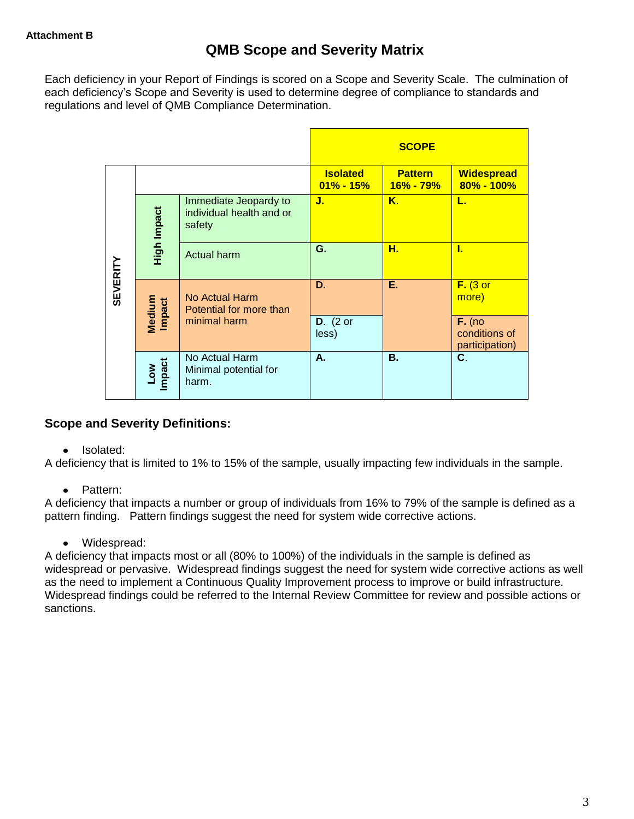Each deficiency in your Report of Findings is scored on a Scope and Severity Scale. The culmination of each deficiency's Scope and Severity is used to determine degree of compliance to standards and regulations and level of QMB Compliance Determination.

|                 |                      |                                                             | <b>SCOPE</b>                     |                             |                                             |
|-----------------|----------------------|-------------------------------------------------------------|----------------------------------|-----------------------------|---------------------------------------------|
|                 |                      |                                                             | <b>Isolated</b><br>$01\% - 15\%$ | <b>Pattern</b><br>16% - 79% | <b>Widespread</b><br>80% - 100%             |
| <b>SEVERITY</b> | High Impact          | Immediate Jeopardy to<br>individual health and or<br>safety | J.                               | K.                          | L.                                          |
|                 |                      | <b>Actual harm</b>                                          | G.                               | н.                          | 1.                                          |
|                 | Medium<br>Impact     | No Actual Harm<br>Potential for more than<br>minimal harm   | D.                               | Ε.                          | $F.$ (3 or<br>more)                         |
|                 |                      |                                                             | $D.$ (2 or<br>less)              |                             | $F.$ (no<br>conditions of<br>participation) |
|                 | <b>Impact</b><br>Low | No Actual Harm<br>Minimal potential for<br>harm.            | А.                               | В.                          | C.                                          |

## **Scope and Severity Definitions:**

• Isolated:

A deficiency that is limited to 1% to 15% of the sample, usually impacting few individuals in the sample.

• Pattern:

A deficiency that impacts a number or group of individuals from 16% to 79% of the sample is defined as a pattern finding. Pattern findings suggest the need for system wide corrective actions.

• Widespread:

A deficiency that impacts most or all (80% to 100%) of the individuals in the sample is defined as widespread or pervasive. Widespread findings suggest the need for system wide corrective actions as well as the need to implement a Continuous Quality Improvement process to improve or build infrastructure. Widespread findings could be referred to the Internal Review Committee for review and possible actions or sanctions.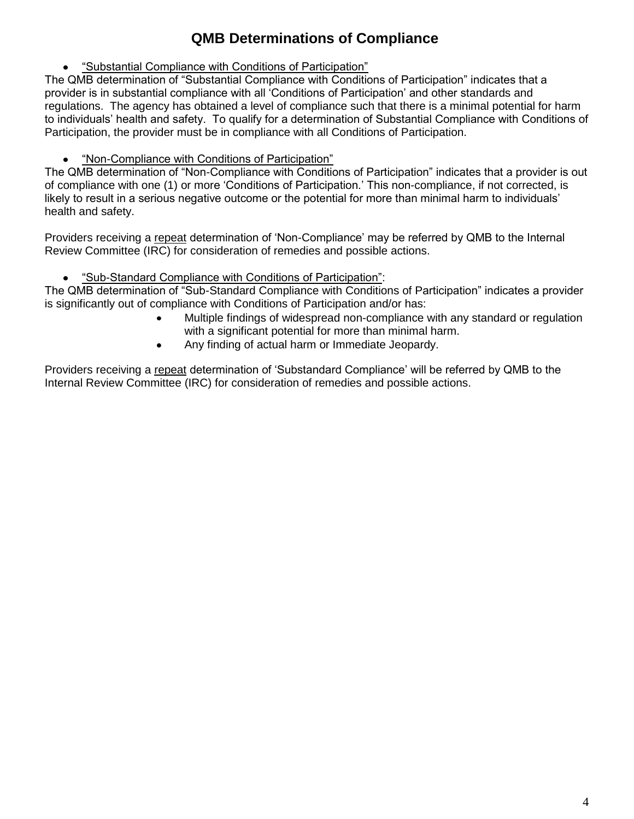# **QMB Determinations of Compliance**

"Substantial Compliance with Conditions of Participation"

The QMB determination of "Substantial Compliance with Conditions of Participation" indicates that a provider is in substantial compliance with all "Conditions of Participation" and other standards and regulations. The agency has obtained a level of compliance such that there is a minimal potential for harm to individuals" health and safety. To qualify for a determination of Substantial Compliance with Conditions of Participation, the provider must be in compliance with all Conditions of Participation.

"Non-Compliance with Conditions of Participation"

The QMB determination of "Non-Compliance with Conditions of Participation" indicates that a provider is out of compliance with one (1) or more "Conditions of Participation." This non-compliance, if not corrected, is likely to result in a serious negative outcome or the potential for more than minimal harm to individuals" health and safety.

Providers receiving a repeat determination of 'Non-Compliance' may be referred by QMB to the Internal Review Committee (IRC) for consideration of remedies and possible actions.

"Sub-Standard Compliance with Conditions of Participation":

The QMB determination of "Sub-Standard Compliance with Conditions of Participation" indicates a provider is significantly out of compliance with Conditions of Participation and/or has:

- Multiple findings of widespread non-compliance with any standard or regulation with a significant potential for more than minimal harm.
- Any finding of actual harm or Immediate Jeopardy.

Providers receiving a repeat determination of 'Substandard Compliance' will be referred by QMB to the Internal Review Committee (IRC) for consideration of remedies and possible actions.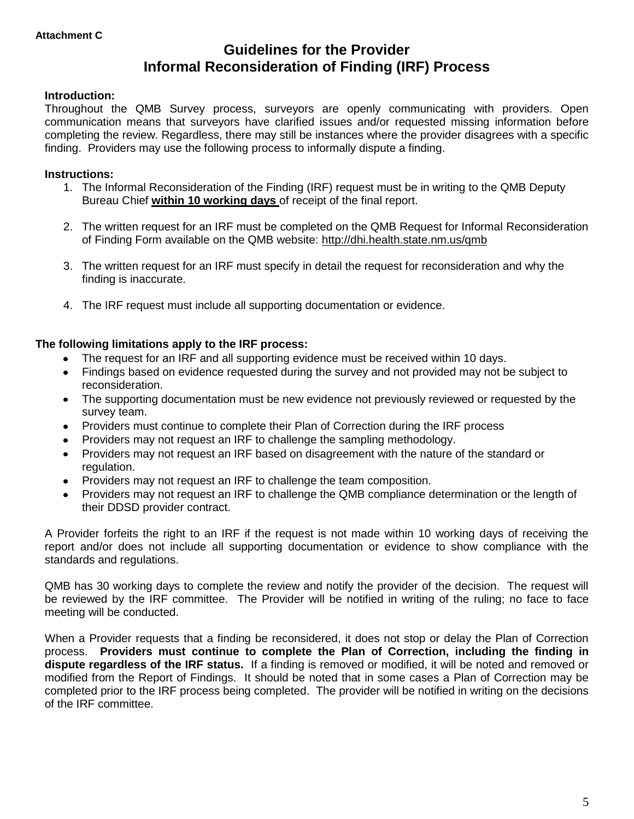# **Guidelines for the Provider Informal Reconsideration of Finding (IRF) Process**

#### **Introduction:**

Throughout the QMB Survey process, surveyors are openly communicating with providers. Open communication means that surveyors have clarified issues and/or requested missing information before completing the review. Regardless, there may still be instances where the provider disagrees with a specific finding. Providers may use the following process to informally dispute a finding.

#### **Instructions:**

- 1. The Informal Reconsideration of the Finding (IRF) request must be in writing to the QMB Deputy Bureau Chief **within 10 working days** of receipt of the final report.
- 2. The written request for an IRF must be completed on the QMB Request for Informal Reconsideration of Finding Form available on the QMB website:<http://dhi.health.state.nm.us/qmb>
- 3. The written request for an IRF must specify in detail the request for reconsideration and why the finding is inaccurate.
- 4. The IRF request must include all supporting documentation or evidence.

#### **The following limitations apply to the IRF process:**

- The request for an IRF and all supporting evidence must be received within 10 days.
- Findings based on evidence requested during the survey and not provided may not be subject to  $\bullet$ reconsideration.
- The supporting documentation must be new evidence not previously reviewed or requested by the  $\bullet$ survey team.
- Providers must continue to complete their Plan of Correction during the IRF process  $\bullet$
- Providers may not request an IRF to challenge the sampling methodology.
- Providers may not request an IRF based on disagreement with the nature of the standard or  $\bullet$ regulation.
- Providers may not request an IRF to challenge the team composition.
- Providers may not request an IRF to challenge the QMB compliance determination or the length of  $\bullet$ their DDSD provider contract.

A Provider forfeits the right to an IRF if the request is not made within 10 working days of receiving the report and/or does not include all supporting documentation or evidence to show compliance with the standards and regulations.

QMB has 30 working days to complete the review and notify the provider of the decision. The request will be reviewed by the IRF committee. The Provider will be notified in writing of the ruling; no face to face meeting will be conducted.

When a Provider requests that a finding be reconsidered, it does not stop or delay the Plan of Correction process. **Providers must continue to complete the Plan of Correction, including the finding in dispute regardless of the IRF status.** If a finding is removed or modified, it will be noted and removed or modified from the Report of Findings. It should be noted that in some cases a Plan of Correction may be completed prior to the IRF process being completed. The provider will be notified in writing on the decisions of the IRF committee.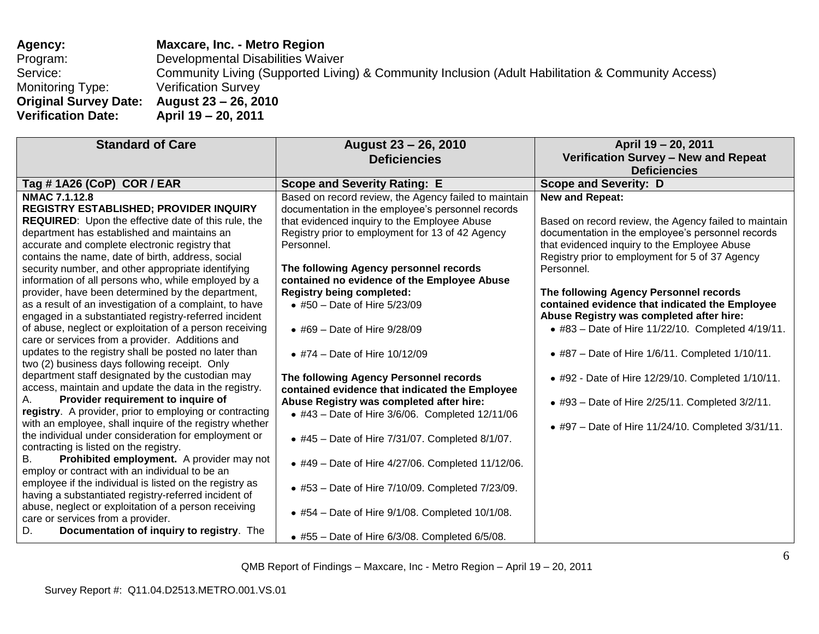**Agency: Maxcare, Inc. - Metro Region** Program: Developmental Disabilities Waiver Service: Community Living (Supported Living) & Community Inclusion (Adult Habilitation & Community Access) Monitoring Type: Verification Survey<br> **Original Survey Date: August 23 - 26, 2010 Original Survey Date:**<br>**Verification Date: Verification Date: April 19 – 20, 2011**

| <b>Standard of Care</b>                                                                                                                                                                                                                                                                                                                                                                                                                                                                                                                                                                                                                                                                                                                                                                                                                                                                                                                                                                                                                                                                                                                                                                                                                                                                                                                                                                                                                                                                               | August 23 - 26, 2010<br><b>Deficiencies</b>                                                                                                                                                                                                                                                                                                                                                                                                                                                                                                                                                                                                                                                                                                                                                                                                                                | April 19 - 20, 2011<br>Verification Survey - New and Repeat<br><b>Deficiencies</b>                                                                                                                                                                                                                                                                                                                                                                                                                                                                                                                                                                                         |
|-------------------------------------------------------------------------------------------------------------------------------------------------------------------------------------------------------------------------------------------------------------------------------------------------------------------------------------------------------------------------------------------------------------------------------------------------------------------------------------------------------------------------------------------------------------------------------------------------------------------------------------------------------------------------------------------------------------------------------------------------------------------------------------------------------------------------------------------------------------------------------------------------------------------------------------------------------------------------------------------------------------------------------------------------------------------------------------------------------------------------------------------------------------------------------------------------------------------------------------------------------------------------------------------------------------------------------------------------------------------------------------------------------------------------------------------------------------------------------------------------------|----------------------------------------------------------------------------------------------------------------------------------------------------------------------------------------------------------------------------------------------------------------------------------------------------------------------------------------------------------------------------------------------------------------------------------------------------------------------------------------------------------------------------------------------------------------------------------------------------------------------------------------------------------------------------------------------------------------------------------------------------------------------------------------------------------------------------------------------------------------------------|----------------------------------------------------------------------------------------------------------------------------------------------------------------------------------------------------------------------------------------------------------------------------------------------------------------------------------------------------------------------------------------------------------------------------------------------------------------------------------------------------------------------------------------------------------------------------------------------------------------------------------------------------------------------------|
| Tag #1A26 (CoP) COR / EAR                                                                                                                                                                                                                                                                                                                                                                                                                                                                                                                                                                                                                                                                                                                                                                                                                                                                                                                                                                                                                                                                                                                                                                                                                                                                                                                                                                                                                                                                             | <b>Scope and Severity Rating: E</b>                                                                                                                                                                                                                                                                                                                                                                                                                                                                                                                                                                                                                                                                                                                                                                                                                                        | <b>Scope and Severity: D</b>                                                                                                                                                                                                                                                                                                                                                                                                                                                                                                                                                                                                                                               |
| <b>NMAC 7.1.12.8</b><br>REGISTRY ESTABLISHED; PROVIDER INQUIRY<br>REQUIRED: Upon the effective date of this rule, the<br>department has established and maintains an<br>accurate and complete electronic registry that<br>contains the name, date of birth, address, social<br>security number, and other appropriate identifying<br>information of all persons who, while employed by a<br>provider, have been determined by the department,<br>as a result of an investigation of a complaint, to have<br>engaged in a substantiated registry-referred incident<br>of abuse, neglect or exploitation of a person receiving<br>care or services from a provider. Additions and<br>updates to the registry shall be posted no later than<br>two (2) business days following receipt. Only<br>department staff designated by the custodian may<br>access, maintain and update the data in the registry.<br>Provider requirement to inquire of<br>Α.<br>registry. A provider, prior to employing or contracting<br>with an employee, shall inquire of the registry whether<br>the individual under consideration for employment or<br>contracting is listed on the registry.<br>Prohibited employment. A provider may not<br>В.<br>employ or contract with an individual to be an<br>employee if the individual is listed on the registry as<br>having a substantiated registry-referred incident of<br>abuse, neglect or exploitation of a person receiving<br>care or services from a provider.<br>D. | Based on record review, the Agency failed to maintain<br>documentation in the employee's personnel records<br>that evidenced inquiry to the Employee Abuse<br>Registry prior to employment for 13 of 42 Agency<br>Personnel.<br>The following Agency personnel records<br>contained no evidence of the Employee Abuse<br><b>Registry being completed:</b><br>• #50 - Date of Hire 5/23/09<br>• #69 – Date of Hire $9/28/09$<br>• #74 – Date of Hire $10/12/09$<br>The following Agency Personnel records<br>contained evidence that indicated the Employee<br>Abuse Registry was completed after hire:<br>• #43 - Date of Hire 3/6/06. Completed 12/11/06<br>• #45 - Date of Hire 7/31/07. Completed 8/1/07.<br>• #49 - Date of Hire 4/27/06. Completed 11/12/06.<br>• #53 - Date of Hire 7/10/09. Completed 7/23/09.<br>$*$ #54 – Date of Hire 9/1/08. Completed 10/1/08. | <b>New and Repeat:</b><br>Based on record review, the Agency failed to maintain<br>documentation in the employee's personnel records<br>that evidenced inquiry to the Employee Abuse<br>Registry prior to employment for 5 of 37 Agency<br>Personnel.<br>The following Agency Personnel records<br>contained evidence that indicated the Employee<br>Abuse Registry was completed after hire:<br>• #83 - Date of Hire 11/22/10. Completed 4/19/11.<br>$*$ #87 – Date of Hire 1/6/11. Completed 1/10/11.<br>• #92 - Date of Hire 12/29/10. Completed 1/10/11.<br>• #93 - Date of Hire 2/25/11. Completed 3/2/11.<br>• #97 – Date of Hire $11/24/10$ . Completed $3/31/11$ . |
| Documentation of inquiry to registry. The                                                                                                                                                                                                                                                                                                                                                                                                                                                                                                                                                                                                                                                                                                                                                                                                                                                                                                                                                                                                                                                                                                                                                                                                                                                                                                                                                                                                                                                             | $\bullet$ #55 - Date of Hire 6/3/08. Completed 6/5/08.                                                                                                                                                                                                                                                                                                                                                                                                                                                                                                                                                                                                                                                                                                                                                                                                                     |                                                                                                                                                                                                                                                                                                                                                                                                                                                                                                                                                                                                                                                                            |

QMB Report of Findings – Maxcare, Inc - Metro Region – April 19 – 20, 2011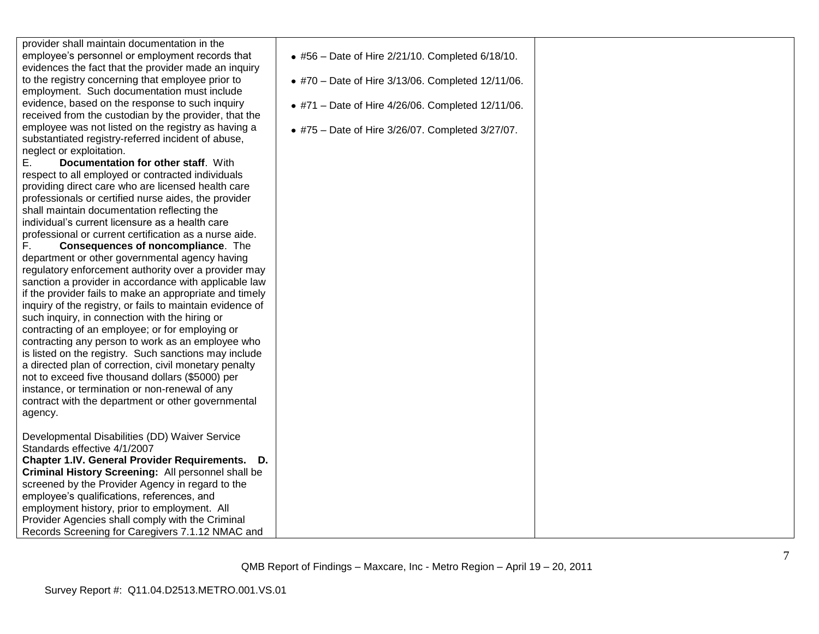employee was not listed on the registry as having a substantiated registry -referred incident of abuse, neglect or exploitation. E. **Documentation for other staff**. With respect to all employed or contracted individuals providing direct care who are licensed health care professionals or certified nurse aides, the provider shall maintain documentation reflecting the individual"s current licensure as a health care professional or current certification as a nurse aide. F. **Consequences of noncompliance**. The department or other governmental agency having regulatory enforcement authority over a provider may sanction a provider in accordance with applicable law if the provider fails to make an appropriate and timely inquiry of the registry, or fails to maintain evidence of such inquiry, in connection with the hiring or contracting of an employee; or for employing or contracting any person to work as an employee who is listed on the registry. Such sanctions may include a directed plan of correction, civil monetary penalty not to exceed five thousand dollars (\$5000) per

provider shall maintain documentation in the employee"s personnel or employment records that evidences the fact that the provider made an inquiry to the registry concerning that employee prior to employment. Such documentation must include evidence, based on the response to such inquiry received from the custodian by the provider, that the

instance, or termination or non -renewal of any contract with the department or other governmental

Developmental Disabilities (DD) Waiver Service

**Chapter 1.IV. General Provider Requirements. D. Criminal History Screening:** All personnel shall be screened by the Provider Agency in regard to the employee"s qualifications, references, and employment history, prior to employment. All Provider Agencies shall comply with the Criminal Records Screening for Caregivers 7.1.12 NMAC and

Standards effective 4/1/2007

agency.

### #56 – Date of Hire 2/21/10. Completed 6/18/10.

- #70 Date of Hire 3/13/06. Completed 12/11/06.
- #71 Date of Hire 4/26/06. Completed 12/11/06.
- #75 Date of Hire 3/26/07. Completed 3/27/07.

QMB Report of Findings – Maxcare, Inc - Metro Region – April 19 – 20, 2011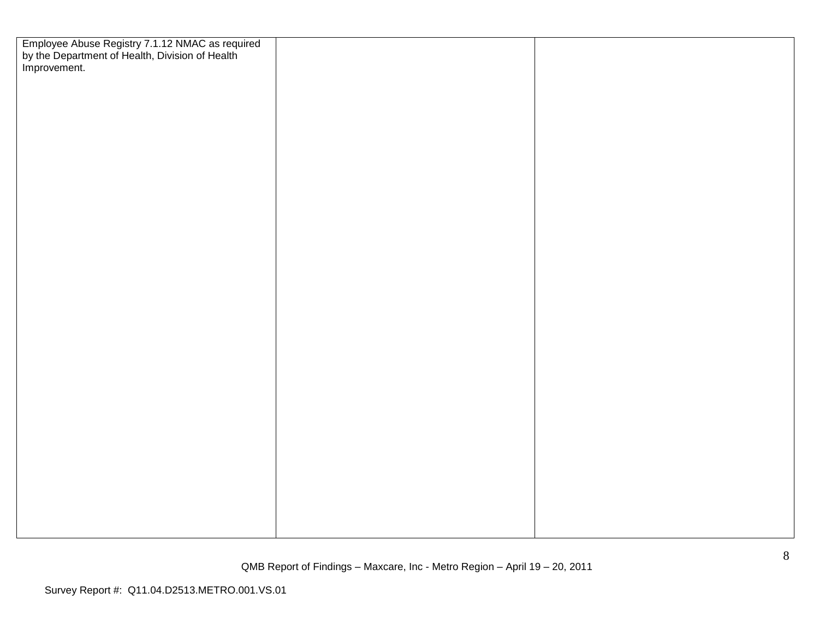| Employee Abuse Registry 7.1.12 NMAC as required<br>by the Department of Health, Division of Health<br>Improvement. |  |
|--------------------------------------------------------------------------------------------------------------------|--|
|                                                                                                                    |  |
|                                                                                                                    |  |
|                                                                                                                    |  |
|                                                                                                                    |  |
|                                                                                                                    |  |
|                                                                                                                    |  |
|                                                                                                                    |  |
|                                                                                                                    |  |
|                                                                                                                    |  |
|                                                                                                                    |  |
|                                                                                                                    |  |
|                                                                                                                    |  |
|                                                                                                                    |  |
|                                                                                                                    |  |
|                                                                                                                    |  |
|                                                                                                                    |  |
|                                                                                                                    |  |
|                                                                                                                    |  |
|                                                                                                                    |  |
|                                                                                                                    |  |
|                                                                                                                    |  |
|                                                                                                                    |  |
|                                                                                                                    |  |
|                                                                                                                    |  |
|                                                                                                                    |  |
|                                                                                                                    |  |
|                                                                                                                    |  |
|                                                                                                                    |  |
|                                                                                                                    |  |
|                                                                                                                    |  |
|                                                                                                                    |  |
|                                                                                                                    |  |
|                                                                                                                    |  |
|                                                                                                                    |  |
|                                                                                                                    |  |
|                                                                                                                    |  |
|                                                                                                                    |  |
|                                                                                                                    |  |
|                                                                                                                    |  |
|                                                                                                                    |  |
|                                                                                                                    |  |
|                                                                                                                    |  |
|                                                                                                                    |  |
|                                                                                                                    |  |
|                                                                                                                    |  |
|                                                                                                                    |  |
|                                                                                                                    |  |
|                                                                                                                    |  |
|                                                                                                                    |  |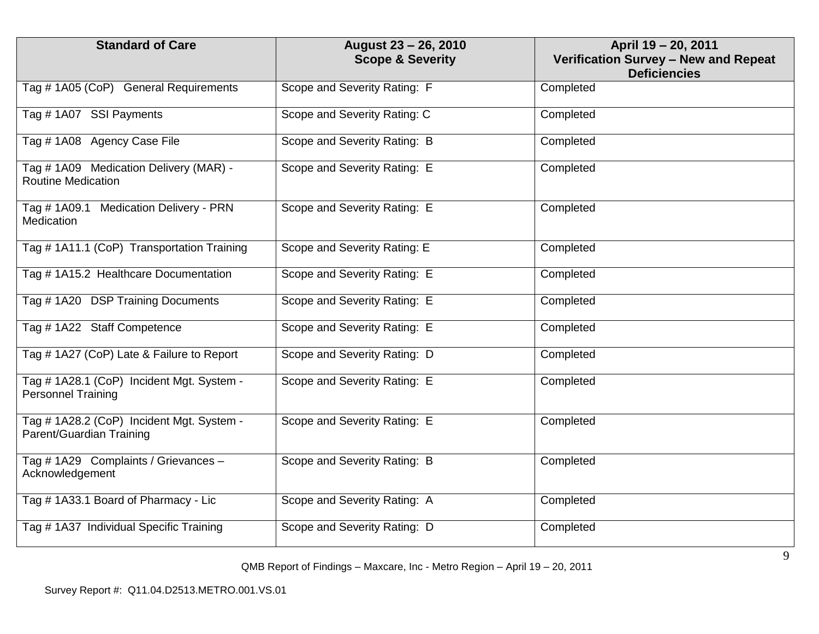| <b>Standard of Care</b>                                                | August 23 - 26, 2010<br><b>Scope &amp; Severity</b> | April 19 - 20, 2011<br>Verification Survey - New and Repeat<br><b>Deficiencies</b> |
|------------------------------------------------------------------------|-----------------------------------------------------|------------------------------------------------------------------------------------|
| Tag # 1A05 (CoP) General Requirements                                  | Scope and Severity Rating: F                        | Completed                                                                          |
| Tag #1A07 SSI Payments                                                 | Scope and Severity Rating: C                        | Completed                                                                          |
| Tag #1A08 Agency Case File                                             | Scope and Severity Rating: B                        | Completed                                                                          |
| Tag # 1A09 Medication Delivery (MAR) -<br><b>Routine Medication</b>    | Scope and Severity Rating: E                        | Completed                                                                          |
| Tag # 1A09.1 Medication Delivery - PRN<br>Medication                   | Scope and Severity Rating: E                        | Completed                                                                          |
| Tag # 1A11.1 (CoP) Transportation Training                             | Scope and Severity Rating: E                        | Completed                                                                          |
| Tag # 1A15.2 Healthcare Documentation                                  | Scope and Severity Rating: E                        | Completed                                                                          |
| Tag #1A20 DSP Training Documents                                       | Scope and Severity Rating: E                        | Completed                                                                          |
| Tag #1A22 Staff Competence                                             | Scope and Severity Rating: E                        | Completed                                                                          |
| Tag # 1A27 (CoP) Late & Failure to Report                              | Scope and Severity Rating: D                        | Completed                                                                          |
| Tag # 1A28.1 (CoP) Incident Mgt. System -<br><b>Personnel Training</b> | Scope and Severity Rating: E                        | Completed                                                                          |
| Tag # 1A28.2 (CoP) Incident Mgt. System -<br>Parent/Guardian Training  | Scope and Severity Rating: E                        | Completed                                                                          |
| Tag #1A29 Complaints / Grievances -<br>Acknowledgement                 | Scope and Severity Rating: B                        | Completed                                                                          |
| Tag #1A33.1 Board of Pharmacy - Lic                                    | Scope and Severity Rating: A                        | Completed                                                                          |
| Tag # 1A37 Individual Specific Training                                | Scope and Severity Rating: D                        | Completed                                                                          |

QMB Report of Findings – Maxcare, Inc - Metro Region – April 19 – 20, 2011